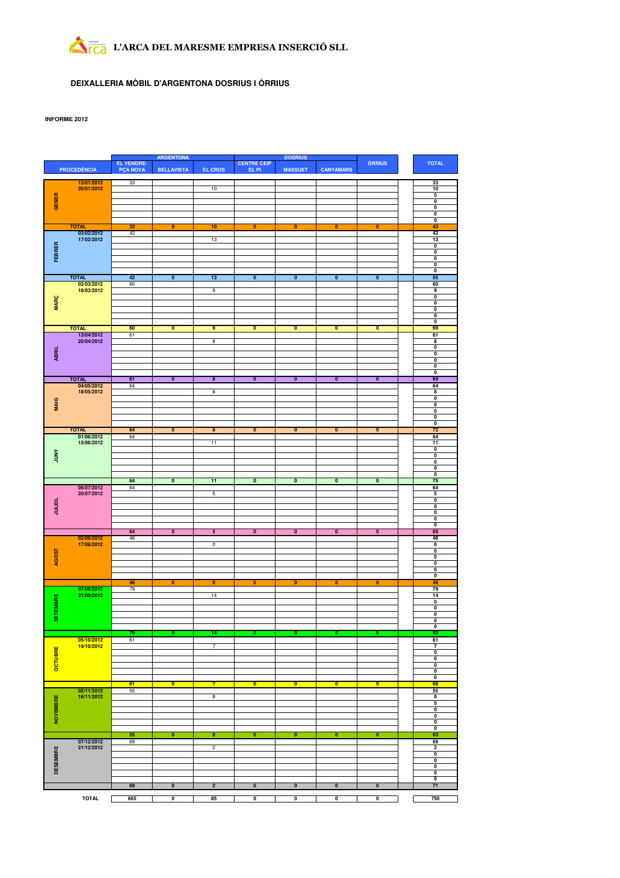# L'ARCA DEL MARESME EMPRESA INSERCIÓ SLL

## **DEIXALLERIA MÒBIL D'ARGENTONA DOSRIUS I ÒRRIUS**

### **INFORME 2012**

|                 |                            | <b>ARGENTONA</b><br><b>DOSRIUS</b>   |                         |                         |                             |                           |                           |                           |                                                    |
|-----------------|----------------------------|--------------------------------------|-------------------------|-------------------------|-----------------------------|---------------------------|---------------------------|---------------------------|----------------------------------------------------|
|                 | <b>PROCEDÈNCIA</b>         | <b>EL VENDRE-</b><br><b>PÇA NOVA</b> | <b>BELLAVISTA</b>       | <b>EL CROS</b>          | <b>CENTRE CEIP</b><br>EL PI | <b>MASSUET</b>            | <b>CANYAMARS</b>          | <b>ÒRRIUS</b>             | <b>TOTAL</b>                                       |
|                 |                            |                                      |                         |                         |                             |                           |                           |                           |                                                    |
|                 | 13/01/2012<br>20/01/2012   | 33                                   |                         | 10                      |                             |                           |                           |                           | 33<br>10                                           |
|                 |                            |                                      |                         |                         |                             |                           |                           |                           | 0                                                  |
| GENER           |                            |                                      |                         |                         |                             |                           |                           |                           | $\overline{\mathbf{0}}$                            |
|                 |                            |                                      |                         |                         |                             |                           |                           |                           | $\overline{\mathbf{0}}$<br>$\overline{\mathbf{0}}$ |
|                 |                            |                                      |                         |                         |                             |                           |                           |                           | $\overline{\mathbf{0}}$                            |
|                 | <b>TOTAL</b>               | 33                                   | $\overline{\mathbf{0}}$ | 10                      | $\overline{\mathbf{0}}$     | $\overline{\mathbf{0}}$   | $\overline{\mathbf{0}}$   | $\overline{\mathbf{0}}$   | 43                                                 |
|                 | 03/02/2012                 | 42                                   |                         |                         |                             |                           |                           |                           | 42                                                 |
|                 | 17/02/2012                 |                                      |                         | 13                      |                             |                           |                           |                           | 13<br>$\overline{\mathbf{0}}$                      |
| FEBRER          |                            |                                      |                         |                         |                             |                           |                           |                           | $\overline{\mathbf{0}}$                            |
|                 |                            |                                      |                         |                         |                             |                           |                           |                           | $\overline{\mathbf{0}}$                            |
|                 |                            |                                      |                         |                         |                             |                           |                           |                           | $\overline{\mathbf{0}}$<br>$\overline{\mathbf{0}}$ |
|                 | <b>TOTAL</b>               | 42                                   | $\overline{\mathbf{0}}$ | 13                      | $\overline{\mathbf{0}}$     | $\overline{\mathfrak{o}}$ | $\overline{\mathfrak{o}}$ | $\overline{\mathfrak{o}}$ | 55                                                 |
|                 | 02/03/2012                 | 60                                   |                         |                         |                             |                           |                           |                           | 60                                                 |
|                 | 16/03/2012                 |                                      |                         | 9                       |                             |                           |                           |                           | 9                                                  |
| <b>MARÇ</b>     |                            |                                      |                         |                         |                             |                           |                           |                           | 0<br>0                                             |
|                 |                            |                                      |                         |                         |                             |                           |                           |                           | 0                                                  |
|                 |                            |                                      |                         |                         |                             |                           |                           |                           | 0                                                  |
|                 |                            |                                      |                         |                         |                             |                           |                           |                           | $\overline{\mathbf{0}}$                            |
|                 | <b>TOTAL</b><br>13/04/2012 | 60<br>61                             | $\mathbf{0}$            | 9                       | 0                           | $\mathbf{0}$              | 0                         | $\mathbf{0}$              | 69<br>61                                           |
|                 | 20/04/2012                 |                                      |                         | $\overline{\mathbf{8}}$ |                             |                           |                           |                           | 8                                                  |
|                 |                            |                                      |                         |                         |                             |                           |                           |                           | $\overline{\mathbf{0}}$                            |
| ABRIL           |                            |                                      |                         |                         |                             |                           |                           |                           | $\bullet$                                          |
|                 |                            |                                      |                         |                         |                             |                           |                           |                           | $\bullet$<br>$\bullet$                             |
|                 |                            |                                      |                         |                         |                             |                           |                           |                           | $\overline{\mathbf{0}}$                            |
|                 | <b>TOTAL</b>               | 61                                   | $\overline{\mathbf{0}}$ | $\overline{\mathbf{8}}$ | $\overline{\mathbf{0}}$     | $\overline{\mathfrak{o}}$ | $\overline{\mathbf{0}}$   | $\overline{\mathbf{0}}$   | 69                                                 |
|                 | 04/05/2012<br>18/05/2012   | 64                                   |                         | $\overline{8}$          |                             |                           |                           |                           | 64<br>8                                            |
|                 |                            |                                      |                         |                         |                             |                           |                           |                           | $\pmb{0}$                                          |
| <b>MAIG</b>     |                            |                                      |                         |                         |                             |                           |                           |                           | 0                                                  |
|                 |                            |                                      |                         |                         |                             |                           |                           |                           | 0                                                  |
|                 |                            |                                      |                         |                         |                             |                           |                           |                           | 0<br>$\overline{\mathbf{0}}$                       |
|                 | <b>TOTAL</b>               | 64                                   | $\overline{\mathbf{0}}$ | $\overline{\mathbf{8}}$ | $\overline{\mathbf{0}}$     | $\overline{\mathbf{0}}$   | $\overline{\mathbf{0}}$   | $\overline{\mathbf{0}}$   | 72                                                 |
|                 | 01/06/2012                 | 64                                   |                         |                         |                             |                           |                           |                           | 64                                                 |
|                 | 15/06/2012                 |                                      |                         | 11                      |                             |                           |                           |                           | 11                                                 |
| <b>ANNY</b>     |                            |                                      |                         |                         |                             |                           |                           |                           | $\overline{\mathbf{0}}$<br>$\overline{\mathbf{0}}$ |
|                 |                            |                                      |                         |                         |                             |                           |                           |                           | $\overline{\mathbf{0}}$                            |
|                 |                            |                                      |                         |                         |                             |                           |                           |                           | $\overline{\mathbf{0}}$                            |
|                 |                            |                                      |                         |                         | $\overline{\mathbf{0}}$     |                           |                           | $\overline{\mathbf{0}}$   | $\overline{\mathbf{0}}$<br>75                      |
|                 |                            |                                      |                         |                         |                             |                           |                           |                           |                                                    |
|                 |                            | 64                                   | $\overline{\mathbf{0}}$ | 11                      |                             | $\overline{\mathbf{0}}$   | $\overline{\mathbf{0}}$   |                           |                                                    |
|                 | 06/07/2012<br>20/07/2012   | 64                                   |                         | 5                       |                             |                           |                           |                           | 64<br>5                                            |
|                 |                            |                                      |                         |                         |                             |                           |                           |                           | 0                                                  |
|                 |                            |                                      |                         |                         |                             |                           |                           |                           | 0                                                  |
| <b>JOITIOT</b>  |                            |                                      |                         |                         |                             |                           |                           |                           | 0<br>0                                             |
|                 |                            |                                      |                         |                         |                             |                           |                           |                           | $\overline{\mathbf{0}}$                            |
|                 |                            | 64                                   | $\overline{\mathbf{0}}$ | $\overline{\mathbf{5}}$ | $\overline{\mathbf{0}}$     | $\overline{\mathbf{0}}$   | $\overline{\mathbf{0}}$   | $\overline{\mathbf{0}}$   | 69                                                 |
|                 | 02/08/2012                 | 46                                   |                         |                         |                             |                           |                           |                           | 46                                                 |
|                 | 17/08/2012                 |                                      |                         | $\overline{0}$          |                             |                           |                           |                           | $\overline{\mathbf{0}}$<br>$\overline{\mathbf{0}}$ |
|                 |                            |                                      |                         |                         |                             |                           |                           |                           | $\overline{\mathbf{0}}$                            |
| AGOST           |                            |                                      |                         |                         |                             |                           |                           |                           | $\overline{\mathbf{0}}$<br>$\overline{\mathbf{0}}$ |
|                 |                            |                                      |                         |                         |                             |                           |                           |                           | $\overline{\mathbf{0}}$                            |
|                 |                            | 46                                   | $\bf{0}$                | $\bf{0}$                | $\bf{0}$                    | $\bf{0}$                  | $\bf{0}$                  | $\bf{0}$                  | 46                                                 |
|                 | 07/09/2012                 | 79                                   |                         |                         |                             |                           |                           |                           | 79                                                 |
|                 | 21/09/2012                 |                                      |                         | 14                      |                             |                           |                           |                           | 14<br>0                                            |
|                 |                            |                                      |                         |                         |                             |                           |                           |                           | $\overline{\mathbf{0}}$                            |
| ETEMBRE         |                            |                                      |                         |                         |                             |                           |                           |                           | $\overline{\mathbf{0}}$                            |
| ø               |                            |                                      |                         |                         |                             |                           |                           |                           | 0<br>$\overline{\mathbf{0}}$                       |
|                 |                            | 79                                   | $\overline{\mathbf{0}}$ | 14                      | O                           | $\overline{\mathbf{0}}$   | 0                         | $\overline{\mathbf{0}}$   | 93                                                 |
|                 | 05/10/2012                 | 61                                   |                         |                         |                             |                           |                           |                           | 61                                                 |
|                 | 19/10/2012                 |                                      |                         | 7                       |                             |                           |                           |                           | 7                                                  |
|                 |                            |                                      |                         |                         |                             |                           |                           |                           | $\overline{\mathbf{0}}$<br>$\overline{\mathbf{0}}$ |
|                 |                            |                                      |                         |                         |                             |                           |                           |                           | $\overline{\mathbf{0}}$                            |
| OCTUBRE         |                            |                                      |                         |                         |                             |                           |                           |                           | $\overline{\mathbf{0}}$<br>$\overline{\mathbf{0}}$ |
|                 |                            | 61                                   | $\bullet$               | $\overline{7}$          | $\overline{\mathbf{0}}$     | $\overline{\mathbf{0}}$   | $\overline{\mathbf{0}}$   | $\overline{\mathbf{0}}$   | 68                                                 |
|                 | 02/11/2012                 | 55                                   |                         |                         |                             |                           |                           |                           | 55                                                 |
|                 | 16/11/2012                 |                                      |                         | 8                       |                             |                           |                           |                           | 8                                                  |
|                 |                            |                                      |                         |                         |                             |                           |                           |                           | 0<br>0                                             |
|                 |                            |                                      |                         |                         |                             |                           |                           |                           | 0                                                  |
| <b>NOVEMBRE</b> |                            |                                      |                         |                         |                             |                           |                           |                           | 0                                                  |
|                 |                            |                                      |                         |                         |                             |                           |                           |                           | $\overline{\mathbf{0}}$                            |
|                 | 07/12/2012                 | 55<br>69                             | $\mathbf{0}$            | 8                       | 0                           | $\mathbf{0}$              | 0                         | $\mathbf{0}$              | 63<br>69                                           |
|                 | 21/12/2012                 |                                      |                         | $\overline{2}$          |                             |                           |                           |                           | $\overline{\mathbf{2}}$                            |
|                 |                            |                                      |                         |                         |                             |                           |                           |                           | $\overline{\mathbf{0}}$                            |
|                 |                            |                                      |                         |                         |                             |                           |                           |                           | $\overline{\mathbf{0}}$                            |
| <b>DESEMBRE</b> |                            |                                      |                         |                         |                             |                           |                           |                           | $\overline{\mathbf{0}}$<br>$\overline{\mathbf{0}}$ |
|                 |                            |                                      |                         |                         |                             |                           |                           |                           | $\overline{\mathbf{0}}$                            |
|                 |                            | 69                                   | $\overline{\mathbf{0}}$ | $\overline{2}$          | $\overline{\mathbf{0}}$     | $\overline{\mathbf{0}}$   | $\overline{\mathbf{0}}$   | $\overline{\mathbf{0}}$   | 71                                                 |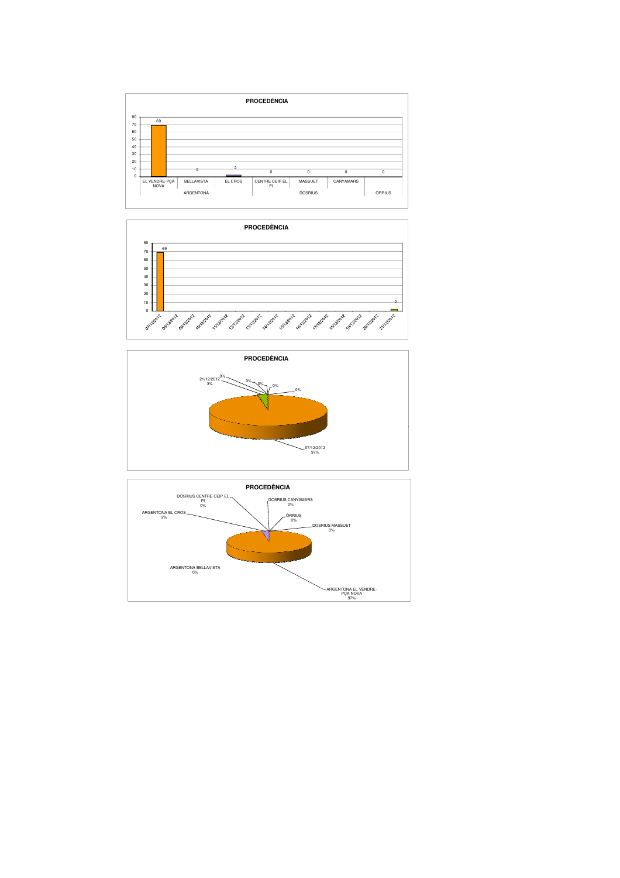





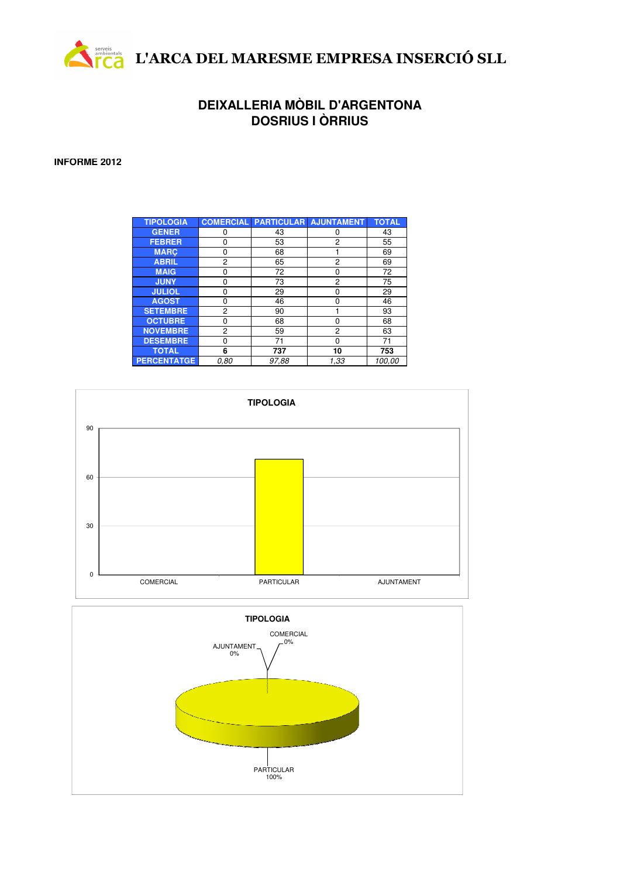

## **DEIXALLERIA MÒBIL D'ARGENTONA DOSRIUS I ÒRRIUS**

## **INFORME 2012**

| <b>TIPOLOGIA</b>   |      |       | <b>COMERCIAL PARTICULAR AJUNTAMENT</b> | <b>TOTAL</b> |
|--------------------|------|-------|----------------------------------------|--------------|
| <b>GENER</b>       | ŋ    | 43    | 0                                      | 43           |
| <b>FEBRER</b>      | O    | 53    | 2                                      | 55           |
| <b>MARC</b>        | ŋ    | 68    |                                        | 69           |
| <b>ABRIL</b>       | 2    | 65    | 2                                      | 69           |
| <b>MAIG</b>        | 0    | 72    | 0                                      | 72           |
| <b>JUNY</b>        | ŋ    | 73    | 2                                      | 75           |
| <b>JULIOL</b>      | n    | 29    | 0                                      | 29           |
| <b>AGOST</b>       | ŋ    | 46    | 0                                      | 46           |
| <b>SETEMBRE</b>    | 2    | 90    |                                        | 93           |
| <b>OCTUBRE</b>     | ŋ    | 68    | ŋ                                      | 68           |
| <b>NOVEMBRE</b>    | 2    | 59    | 2                                      | 63           |
| <b>DESEMBRE</b>    | 0    | 71    | ŋ                                      | 71           |
| <b>TOTAL</b>       | 6    | 737   | 10                                     | 753          |
| <b>PERCENTATGE</b> | 0.80 | 97,88 | 1,33                                   | 100,00       |



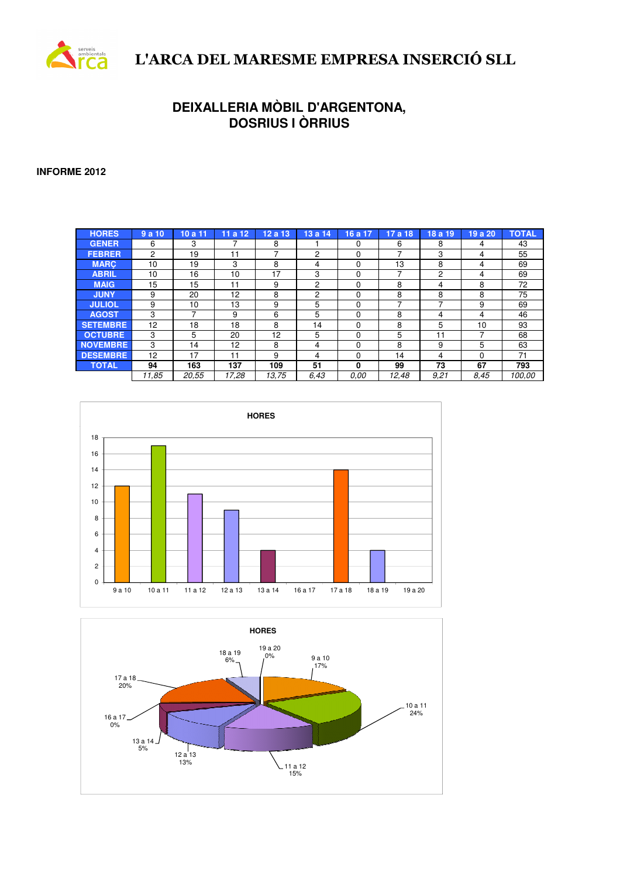

# L'ARCA DEL MARESME EMPRESA INSERCIÓ SLL

## **DEIXALLERIA MÒBIL D'ARGENTONA, DOSRIUS I ÒRRIUS**

**INFORME 2012**

| <b>HORES</b>    | 9a10  | 10a11 | 11a12 | 12a13 | 13a14          | 16 a 17  | 17a18 | 18 a 19 | 19 a 20  | <b>TOTAL</b> |
|-----------------|-------|-------|-------|-------|----------------|----------|-------|---------|----------|--------------|
| <b>GENER</b>    | 6     | 3     |       | 8     |                | 0        | 6     | 8       | 4        | 43           |
| <b>FEBRER</b>   | 2     | 19    | 11    | ⇁     | 2              | 0        | ⇁     | 3       | 4        | 55           |
| <b>MARC</b>     | 10    | 19    | 3     | 8     | 4              | 0        | 13    | 8       | 4        | 69           |
| <b>ABRIL</b>    | 10    | 16    | 10    | 17    | 3              | $\Omega$ | ⇁     | 2       | 4        | 69           |
| <b>MAIG</b>     | 15    | 15    | 11    | 9     | $\overline{c}$ | 0        | 8     | 4       | 8        | 72           |
| <b>JUNY</b>     | 9     | 20    | 12    | 8     | 2              | 0        | 8     | 8       | 8        | 75           |
| <b>JULIOL</b>   | 9     | 10    | 13    | 9     | 5              | 0        |       |         | 9        | 69           |
| <b>AGOST</b>    | 3     |       | 9     | 6     | 5              | 0        | 8     | 4       | 4        | 46           |
| <b>SETEMBRE</b> | 12    | 18    | 18    | 8     | 14             | $\Omega$ | 8     | 5       | 10       | 93           |
| <b>OCTUBRE</b>  | 3     | 5     | 20    | 12    | 5              | 0        | 5     | 11      |          | 68           |
| <b>NOVEMBRE</b> | 3     | 14    | 12    | 8     | 4              | 0        | 8     | 9       | 5        | 63           |
| <b>DESEMBRE</b> | 12    | 17    | 11    | 9     | 4              | 0        | 14    | 4       | $\Omega$ | 71           |
| <b>TOTAL</b>    | 94    | 163   | 137   | 109   | 51             | 0        | 99    | 73      | 67       | 793          |
|                 | 11,85 | 20.55 | 17.28 | 13.75 | 6.43           | 0.00     | 12.48 | 9.21    | 8.45     | 100.00       |



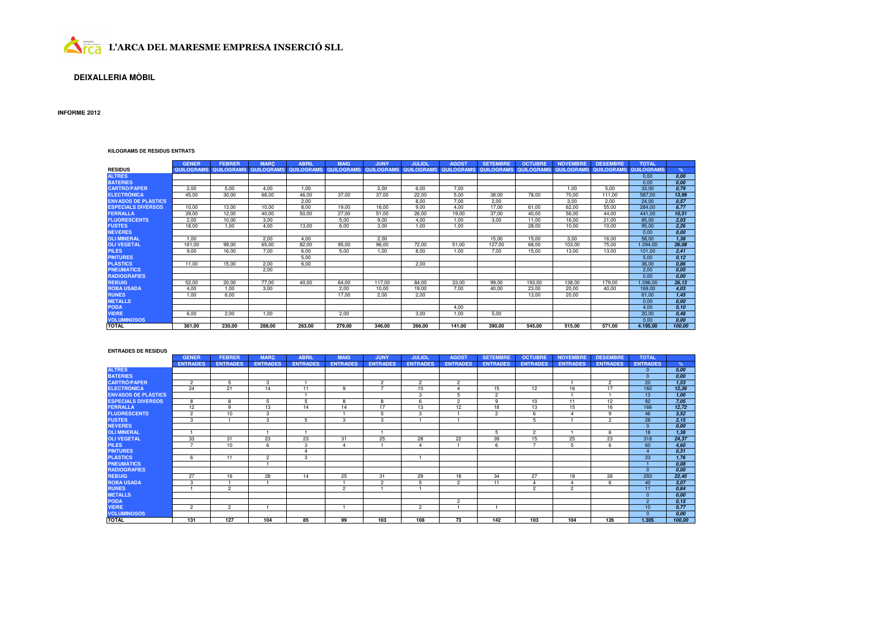

### **DEIXALLERIA MÒBIL**

### **INFORME 2012**

#### **KILOGRAMS DE RESIDUS ENTRATS**

|                            | <b>GENER</b>      | <b>FEBRER</b>     | <b>MARC</b>       | <b>ABRIL</b>      | <b>MAIG</b>       | JUNY       | <b>JULIOL</b>     | AGOST             | <b>SETEMBRE</b>   | <b>OCTUBRE</b>    | <b>NOVEMBRE</b>   | <b>DESEMBRE</b>   | <b>TOTAL</b>      |        |
|----------------------------|-------------------|-------------------|-------------------|-------------------|-------------------|------------|-------------------|-------------------|-------------------|-------------------|-------------------|-------------------|-------------------|--------|
| <b>RESIDUS</b>             | <b>QUILOGRAMS</b> | <b>QUILOGRAMS</b> | <b>QUILOGRAMS</b> | <b>QUILOGRAMS</b> | <b>QUILOGRAMS</b> | QUILOGRAMS | <b>QUILOGRAMS</b> | <b>QUILOGRAMS</b> | <b>QUILOGRAMS</b> | <b>QUILOGRAMS</b> | <b>QUILOGRAMS</b> | <b>QUILOGRAMS</b> | <b>QUILOGRAMS</b> | $\%$   |
| <b>ALTRES</b>              |                   |                   |                   |                   |                   |            |                   |                   |                   |                   |                   |                   | 0,00              | 0,00   |
| <b>BATERIES</b>            |                   |                   |                   |                   |                   |            |                   |                   |                   |                   |                   |                   | 0.00              | 0.00   |
| <b>CARTRO/PAPER</b>        | 2.00              | 5,00              | 4,00              | 1.00              |                   | 2.00       | 6,00              | 7.00              |                   |                   | 1.00              | 5.00              | 33,00             | 0,79   |
| <b>ELECTRONICA</b>         | 45,00             | 30,00             | 68,00             | 46,00             | 37,00             | 37,00      | 22,00             | 5,00              | 38,00             | 78.00             | 70,00             | 111,00            | 587,00            | 13,99  |
| <b>ENVASOS DE PLÀSTICS</b> |                   |                   |                   | 2.00              |                   |            | 8.00              | 7.00              | 2.00              |                   | 3.00              | 2.00              | 24.00             | 0.57   |
| <b>ESPECIALS DIVERSOS</b>  | 10,00             | 13,00             | 10,00             | 8.00              | 19,00             | 16.00      | 9,00              | 4,00              | 17.00             | 61,00             | 62,00             | 55,00             | 284,00            | 6,77   |
| <b>FERRALLA</b>            | 39,00             | 12,00             | 40,00             | 50,00             | 27,00             | 51,00      | 26,00             | 19,00             | 37,00             | 40.00             | 56.00             | 44,00             | 441,00            | 10,51  |
| <b>FLUORESCENTS</b>        | 2.00              | 10.00             | 3.00              |                   | 5.00              | 9.00       | 4.00              | 1.00              | 3.00              | 11.00             | 16.00             | 21,00             | 85.00             | 2.03   |
| <b>FUSTES</b>              | 18,00             | 1,00              | 4,00              | 13,00             | 6.00              | 3.00       | 1,00              | 1,00              |                   | 28.00             | 10.00             | 10,00             | 95,00             | 2,26   |
| <b>NEVERES</b>             |                   |                   |                   |                   |                   |            |                   |                   |                   |                   |                   |                   | 0,00              | 0,00   |
| <b>OLI MINERAL</b>         | 1.00              |                   | 2.00              | 4.00              |                   | 2.00       |                   |                   | 15.00             | 15.00             | 3.00              | 16.00             | 58.00             | 1,38   |
| <b>OLI VEGETAL</b>         | 161.00            | 99,00             | 65,00             | 82,00             | 95,00             | 96.00      | 72,00             | 51,00             | 127,00            | 68,00             | 103,00            | 75,00             | 1.094,00          | 26,08  |
| <b>PILES</b>               | 9.00              | 16,00             | 7,00              | 6.00              | 5.00              | 1.00       | 8.00              | 1.00              | 7,00              | 15.00             | 13.00             | 13,00             | 101,00            | 2,41   |
| <b>PINTURES</b>            |                   |                   |                   | 5.00              |                   |            |                   |                   |                   |                   |                   |                   | 5.00              | 0, 12  |
| <b>PLASTICS</b>            | 11,00             | 15.00             | 2.00              | 6.00              |                   |            | 2.00              |                   |                   |                   |                   |                   | 36,00             | 0.86   |
| <b>PNEUMATICS</b>          |                   |                   | 2,00              |                   |                   |            |                   |                   |                   |                   |                   |                   | 2.00              | 0,05   |
| <b>RADIOGRAFIES</b>        |                   |                   |                   |                   |                   |            |                   |                   |                   |                   |                   |                   | 0,00              | 0,00   |
| <b>REBUIG</b>              | 52,00             | 20,00             | 77,00             | 40,00             | 64,00             | 117.00     | 84,00             | 33,00             | 99,00             | 193,00            | 138,00            | 179,00            | 1.096,00          | 26,13  |
| <b>ROBA USADA</b>          | 4.00              | 1,00              | 3.00              |                   | 2.00              | 10.00      | 19,00             | 7.00              | 40,00             | 23,00             | 20.00             | 40,00             | 169,00            | 4,03   |
| <b>RUNES</b>               | 1.00              | 6,00              |                   |                   | 17.00             | 2.00       | 2,00              |                   |                   | 13.00             | 20.00             |                   | 61,00             | 1,45   |
| <b>METALLS</b>             |                   |                   |                   |                   |                   |            |                   |                   |                   |                   |                   |                   | 0,00              | 0,00   |
| <b>PODA</b>                |                   |                   |                   |                   |                   |            |                   | 4.00              |                   |                   |                   |                   | 4.00              | 0.10   |
| <b>VIDRE</b>               | 6.00              | 2,00              | 1,00              |                   | 2,00              |            | 3,00              | 1.00              | 5,00              |                   |                   |                   | 20,00             | 0,48   |
| <b>VOLUMINOSOS</b>         |                   |                   |                   |                   |                   |            |                   |                   |                   |                   |                   |                   | 0.00              | 0.00   |
| <b>TOTAL</b>               | 361.00            | 230,00            | 288.00            | 263,00            | 279,00            | 346.00     | 266.00            | 141.00            | 390.00            | 545.00            | 515.00            | 571.00            | 4.195.00          | 100.00 |

#### **ENTRADES DE RESIDUS**

|                            | <b>GENER</b>    | <b>FEBRER</b>   | <b>MARC</b>     | <b>ABRIL</b>    | <b>MAIG</b>     | <b>JUNY</b>     | <b>JULIOL</b>   | <b>AGOST</b>    | <b>SETEMBRE</b> | <b>OCTUBRE</b>  | <b>NOVEMBRE</b> | <b>DESEMBRE</b> | <b>TOTAL</b>    |        |
|----------------------------|-----------------|-----------------|-----------------|-----------------|-----------------|-----------------|-----------------|-----------------|-----------------|-----------------|-----------------|-----------------|-----------------|--------|
|                            | <b>ENTRADES</b> | <b>ENTRADES</b> | <b>ENTRADES</b> | <b>ENTRADES</b> | <b>ENTRADES</b> | <b>ENTRADES</b> | <b>ENTRADES</b> | <b>ENTRADES</b> | <b>ENTRADES</b> | <b>ENTRADES</b> | <b>ENTRADES</b> | <b>ENTRADES</b> | <b>ENTRADES</b> | %      |
| <b>ALTRES</b>              |                 |                 |                 |                 |                 |                 |                 |                 |                 |                 |                 |                 | $\Omega$        | 0,00   |
| <b>BATERIES</b>            |                 |                 |                 |                 |                 |                 |                 |                 |                 |                 |                 |                 | $\Omega$        | 0.00   |
| <b>CARTRO/PAPER</b>        | $\overline{2}$  |                 | 3               |                 |                 | $\overline{2}$  | $\overline{c}$  | $\overline{2}$  |                 |                 |                 | $\overline{2}$  | 20              | 1,53   |
| <b>ELECTRÒNICA</b>         | 24              | 21              | 14              | 11              | 9               |                 | 10              |                 | 15              | 12              | 16              | 17              | 160             | 12,26  |
| <b>ENVASOS DE PLÀSTICS</b> |                 |                 |                 |                 |                 |                 | 3               |                 | $\overline{2}$  |                 |                 |                 | 13              | 1.00   |
| <b>ESPECIALS DIVERSOS</b>  | 8               | 8               | 5               | 5               | 8               | 8               | 6               | $\overline{2}$  | 9               | 10              | 11              | 12              | 92              | 7,05   |
| <b>FERRALLA</b>            | 12              | $\alpha$        | 13              | 14              | 14              | 17              | 13              | 12              | 18              | 13              | 15              | 16              | 166             | 12,72  |
| <b>FLUORESCENTS</b>        | $\overline{2}$  | 10              | 3               |                 |                 | 5               | 3               |                 | $\overline{2}$  | 6               | $\Lambda$       | 9               | 46              | 3,52   |
| <b>FUSTES</b>              | 3               |                 | $\mathbf{3}$    | 5               | 3               | 3               |                 |                 |                 |                 |                 | $\overline{2}$  | 28              | 2,15   |
| <b>NEVERES</b>             |                 |                 |                 |                 |                 |                 |                 |                 |                 |                 |                 |                 | $\Omega$        | 0.00   |
| <b>OLI MINERAL</b>         |                 |                 |                 |                 |                 |                 |                 |                 | 5               | $\overline{2}$  |                 | 6               | 18              | 1,38   |
| <b>OLI VEGETAL</b>         | 33              | 31              | 23              | 23              | 31              | 25              | 28              | 22              | 39              | 15              | 25              | 23              | 318             | 24,37  |
| <b>PILES</b>               | ⇁               | 10              | 6               | 3               | $\Delta$        |                 |                 |                 | 6               | <u>т</u>        | 5               | 6               | 60              | 4,60   |
| <b>PINTURES</b>            |                 |                 |                 | $\Lambda$       |                 |                 |                 |                 |                 |                 |                 |                 |                 | 0.31   |
| <b>PLÀSTICS</b>            | 6.              | 11              | $\overline{2}$  | 3               |                 |                 |                 |                 |                 |                 |                 |                 | 23              | 1,76   |
| <b>PNEUMATICS</b>          |                 |                 |                 |                 |                 |                 |                 |                 |                 |                 |                 |                 |                 | 0.08   |
| <b>RADIOGRAFIES</b>        |                 |                 |                 |                 |                 |                 |                 |                 |                 |                 |                 |                 | $\Omega$        | 0.00   |
| <b>REBUIG</b>              | 27              | 16              | 28              | 14              | 25              | 31              | 29              | 18              | 34              | 27              | 18              | 26              | 293             | 22,45  |
| <b>ROBA USADA</b>          | 3               |                 |                 |                 |                 | $\overline{2}$  | 5               | $\overline{2}$  | 11              |                 | $\Lambda$       | 6               | 40              | 3.07   |
| <b>RUNES</b>               |                 | $\overline{c}$  |                 |                 | $\overline{2}$  |                 |                 |                 |                 | $\overline{2}$  | $\overline{2}$  |                 | 11              | 0.84   |
| <b>METALLS</b>             |                 |                 |                 |                 |                 |                 |                 |                 |                 |                 |                 |                 | $\Omega$        | 0.00   |
| <b>PODA</b>                |                 |                 |                 |                 |                 |                 |                 | $\overline{2}$  |                 |                 |                 |                 | $\overline{2}$  | 0.15   |
| <b>VIDRE</b>               | $\overline{2}$  | $\overline{2}$  |                 |                 |                 |                 | $\overline{c}$  |                 |                 |                 |                 |                 | 10 <sup>°</sup> | 0.77   |
| <b>VOLUMINOSOS</b>         |                 |                 |                 |                 |                 |                 |                 |                 |                 |                 |                 |                 | $\Omega$        | 0.00   |
| <b>TOTAL</b>               | 131             | 127             | 104             | 85              | 99              | 103             | 108             | 73              | 142             | 103             | 104             | 126             | 1.305           | 100,00 |